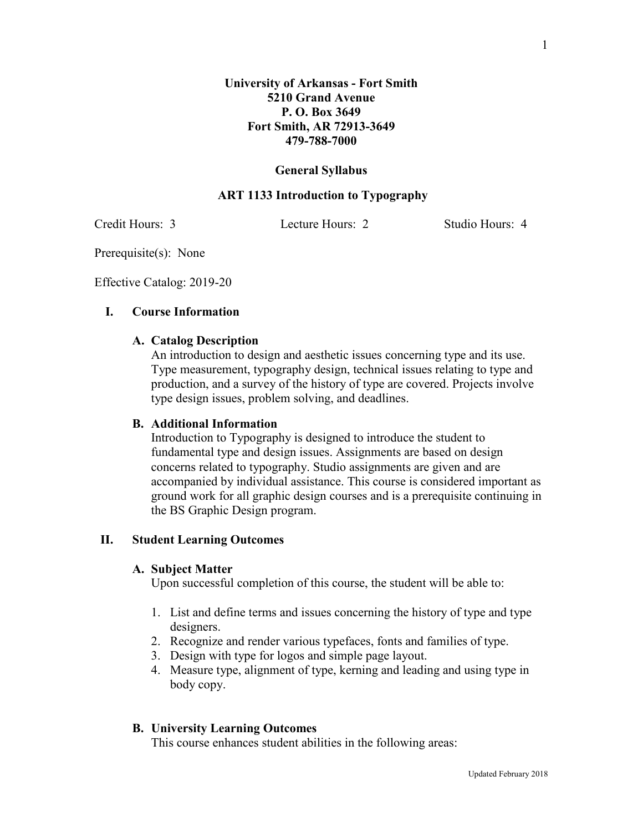#### **General Syllabus**

### **ART 1133 Introduction to Typography**

Credit Hours: 3 Lecture Hours: 2 Studio Hours: 4

Prerequisite(s): None

Effective Catalog: 2019-20

## **I. Course Information**

## **A. Catalog Description**

An introduction to design and aesthetic issues concerning type and its use. Type measurement, typography design, technical issues relating to type and production, and a survey of the history of type are covered. Projects involve type design issues, problem solving, and deadlines.

#### **B. Additional Information**

Introduction to Typography is designed to introduce the student to fundamental type and design issues. Assignments are based on design concerns related to typography. Studio assignments are given and are accompanied by individual assistance. This course is considered important as ground work for all graphic design courses and is a prerequisite continuing in the BS Graphic Design program.

#### **II. Student Learning Outcomes**

#### **A. Subject Matter**

Upon successful completion of this course, the student will be able to:

- 1. List and define terms and issues concerning the history of type and type designers.
- 2. Recognize and render various typefaces, fonts and families of type.
- 3. Design with type for logos and simple page layout.
- 4. Measure type, alignment of type, kerning and leading and using type in body copy.

# **B. University Learning Outcomes**

This course enhances student abilities in the following areas: